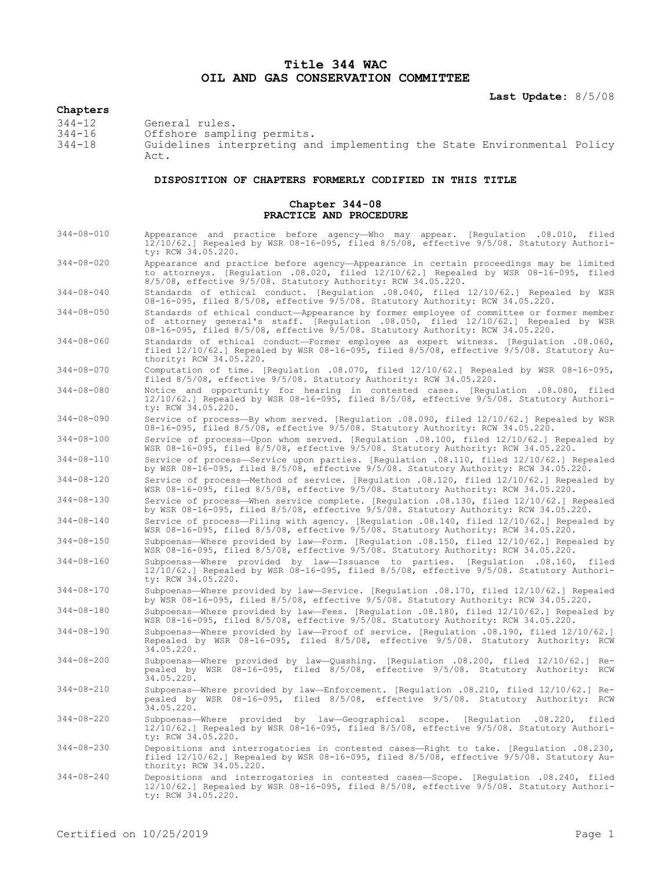## **Title 344 WAC OIL AND GAS CONSERVATION COMMITTEE**

**Last Update:** 8/5/08

## **Chapters**

344-12 General rules.<br>344-16 Offshore sampl 344-16 Offshore sampling permits.

Guidelines interpreting and implementing the State Environmental Policy  $A \cap$ 

## **DISPOSITION OF CHAPTERS FORMERLY CODIFIED IN THIS TITLE**

## **Chapter 344-08 PRACTICE AND PROCEDURE**

344-08-010 Appearance and practice before agency—Who may appear. [Regulation .08.010, filed 12/10/62.] Repealed by WSR 08-16-095, filed 8/5/08, effective 9/5/08. Statutory Authority: RCW 34.05.220. 344-08-020 Appearance and practice before agency—Appearance in certain proceedings may be limited to attorneys. [Regulation .08.020, filed 12/10/62.] Repealed by WSR 08-16-095, filed 8/5/08, effective 9/5/08. Statutory Authority: RCW 34.05.220. 344-08-040 Standards of ethical conduct. [Regulation .08.040, filed 12/10/62.] Repealed by WSR 08-16-095, filed 8/5/08, effective 9/5/08. Statutory Authority: RCW 34.05.220. 344-08-050 Standards of ethical conduct—Appearance by former employee of committee or former member of attorney general's staff. [Regulation .08.050, filed 12/10/62.] Repealed by WSR 08-16-095, filed 8/5/08, effective 9/5/08. Statutory Authority: RCW 34.05.220. 344-08-060 Standards of ethical conduct—Former employee as expert witness. [Regulation .08.060, filed 12/10/62.] Repealed by WSR 08-16-095, filed 8/5/08, effective 9/5/08. Statutory Authority: RCW 34.05.220. 344-08-070 Computation of time. [Regulation .08.070, filed 12/10/62.] Repealed by WSR 08-16-095, filed 8/5/08, effective 9/5/08. Statutory Authority: RCW 34.05.220. 344-08-080 Notice and opportunity for hearing in contested cases. [Regulation .08.080, filed 12/10/62.] Repealed by WSR 08-16-095, filed 8/5/08, effective 9/5/08. Statutory Authority: RCW 34.05.220. 344-08-090 Service of process—By whom served. [Regulation .08.090, filed 12/10/62.] Repealed by WSR 08-16-095, filed 8/5/08, effective 9/5/08. Statutory Authority: RCW 34.05.220. 344-08-100 Service of process—Upon whom served. [Regulation .08.100, filed 12/10/62.] Repealed by WSR 08-16-095, filed 8/5/08, effective 9/5/08. Statutory Authority: RCW 34.05.220. 344-08-110 Service of process—Service upon parties. [Regulation .08.110, filed 12/10/62.] Repealed by WSR 08-16-095, filed 8/5/08, effective 9/5/08. Statutory Authority: RCW 34.05.220. 344-08-120 Service of process—Method of service. [Regulation .08.120, filed 12/10/62.] Repealed by WSR 08-16-095, filed 8/5/08, effective 9/5/08. Statutory Authority: RCW 34.05.220. 344-08-130 Service of process—When service complete. [Regulation .08.130, filed 12/10/62.] Repealed by WSR 08-16-095, filed 8/5/08, effective 9/5/08. Statutory Authority: RCW 34.05.220. 344-08-140 Service of process—Filing with agency. [Regulation .08.140, filed 12/10/62.] Repealed by WSR 08-16-095, filed 8/5/08, effective 9/5/08. Statutory Authority: RCW 34.05.220. 344-08-150 Subpoenas—Where provided by law—Form. [Regulation .08.150, filed 12/10/62.] Repealed by WSR 08-16-095, filed 8/5/08, effective 9/5/08. Statutory Authority: RCW 34.05.220. 344-08-160 Subpoenas—Where provided by law—Issuance to parties. [Regulation .08.160, filed 12/10/62.] Repealed by WSR 08-16-095, filed 8/5/08, effective 9/5/08. Statutory Authority: RCW 34.05.220. 344-08-170 Subpoenas—Where provided by law—Service. [Regulation .08.170, filed 12/10/62.] Repealed by WSR 08-16-095, filed 8/5/08, effective 9/5/08. Statutory Authority: RCW 34.05.220. 344-08-180 Subpoenas—Where provided by law—Fees. [Regulation .08.180, filed 12/10/62.] Repealed by WSR 08-16-095, filed 8/5/08, effective 9/5/08. Statutory Authority: RCW 34.05.220. 344-08-190 Subpoenas—Where provided by law—Proof of service. [Regulation .08.190, filed 12/10/62.] Repealed by WSR 08-16-095, filed 8/5/08, effective 9/5/08. Statutory Authority: RCW 34.05.220. 344-08-200 Subpoenas—Where provided by law—Quashing. [Regulation .08.200, filed 12/10/62.] Repealed by WSR 08-16-095, filed 8/5/08, effective 9/5/08. Statutory Authority: RCW  $34.05.220$ . 344-08-210 Subpoenas—Where provided by law—Enforcement. [Regulation .08.210, filed 12/10/62.] Repealed by WSR 08-16-095, filed 8/5/08, effective 9/5/08. Statutory Authority: RCW 34.05.220. 344-08-220 Subpoenas—Where provided by law—Geographical scope. [Regulation .08.220, filed 12/10/62.] Repealed by WSR 08-16-095, filed 8/5/08, effective 9/5/08. Statutory Authority: RCW 34.05.220. 344-08-230 Depositions and interrogatories in contested cases—Right to take. [Regulation .08.230, filed 12/10/62.] Repealed by WSR 08-16-095, filed 8/5/08, effective 9/5/08. Statutory Authority: RCW 34.05.220. 344-08-240 Depositions and interrogatories in contested cases—Scope. [Regulation .08.240, filed 12/10/62.] Repealed by WSR 08-16-095, filed 8/5/08, effective 9/5/08. Statutory Authori-

ty: RCW 34.05.220.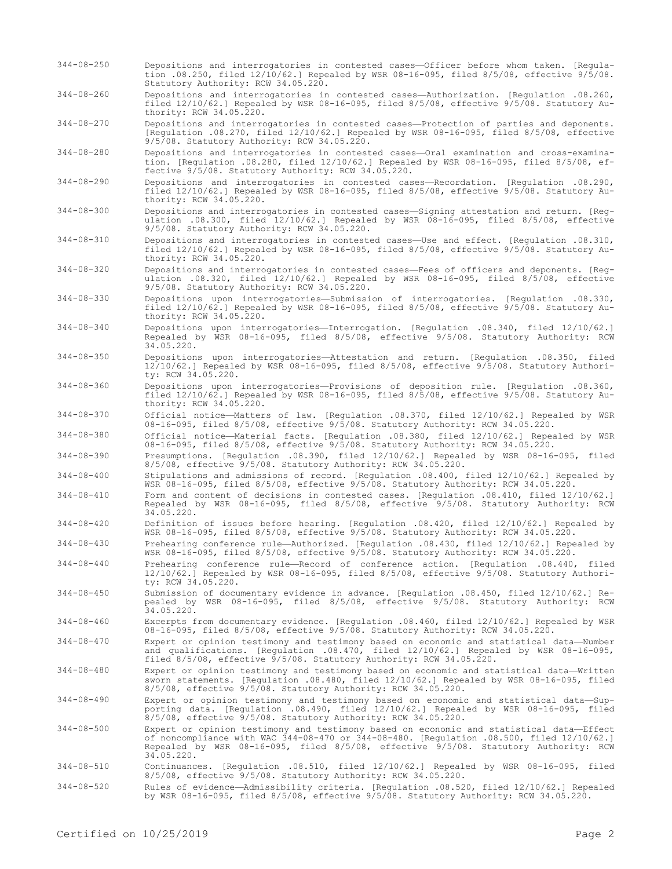- 344-08-250 Depositions and interrogatories in contested cases—Officer before whom taken. [Regulation .08.250, filed 12/10/62.] Repealed by WSR 08-16-095, filed 8/5/08, effective 9/5/08. Statutory Authority: RCW 34.05.220.
- 344-08-260 Depositions and interrogatories in contested cases—Authorization. [Regulation .08.260, filed 12/10/62.] Repealed by WSR 08-16-095, filed 8/5/08, effective 9/5/08. Statutory Authority: RCW 34.05.220.
- 344-08-270 Depositions and interrogatories in contested cases—Protection of parties and deponents. [Regulation .08.270, filed 12/10/62.] Repealed by WSR 08-16-095, filed 8/5/08, effective 9/5/08. Statutory Authority: RCW 34.05.220.
- 344-08-280 Depositions and interrogatories in contested cases—Oral examination and cross-examination. [Regulation .08.280, filed 12/10/62.] Repealed by WSR 08-16-095, filed 8/5/08, effective 9/5/08. Statutory Authority: RCW 34.05.220.
- 344-08-290 Depositions and interrogatories in contested cases—Recordation. [Regulation .08.290, filed 12/10/62.] Repealed by WSR 08-16-095, filed 8/5/08, effective 9/5/08. Statutory Authority: RCW 34.05.220.
- 344-08-300 Depositions and interrogatories in contested cases—Signing attestation and return. [Regulation .08.300, filed 12/10/62.] Repealed by WSR 08-16-095, filed 8/5/08, effective 9/5/08. Statutory Authority: RCW 34.05.220.
- 344-08-310 Depositions and interrogatories in contested cases—Use and effect. [Regulation .08.310, filed 12/10/62.] Repealed by WSR 08-16-095, filed 8/5/08, effective 9/5/08. Statutory Authority: RCW 34.05.220.
- 344-08-320 Depositions and interrogatories in contested cases—Fees of officers and deponents. [Regulation .08.320, filed 12/10/62.] Repealed by WSR 08-16-095, filed 8/5/08, effective 9/5/08. Statutory Authority: RCW 34.05.220.
- 344-08-330 Depositions upon interrogatories—Submission of interrogatories. [Regulation .08.330, filed 12/10/62.] Repealed by WSR 08-16-095, filed 8/5/08, effective 9/5/08. Statutory Authority: RCW 34.05.220.
- 344-08-340 Depositions upon interrogatories—Interrogation. [Regulation .08.340, filed 12/10/62.] Repealed by WSR 08-16-095, filed 8/5/08, effective 9/5/08. Statutory Authority: RCW 34.05.220.
- 344-08-350 Depositions upon interrogatories—Attestation and return. [Regulation .08.350, filed 12/10/62.] Repealed by WSR 08-16-095, filed 8/5/08, effective 9/5/08. Statutory Authority: RCW 34.05.220.
- 344-08-360 Depositions upon interrogatories—Provisions of deposition rule. [Regulation .08.360, filed 12/10/62.] Repealed by WSR 08-16-095, filed 8/5/08, effective 9/5/08. Statutory Authority: RCW 34.05.220.
- 344-08-370 Official notice—Matters of law. [Regulation .08.370, filed 12/10/62.] Repealed by WSR 08-16-095, filed 8/5/08, effective 9/5/08. Statutory Authority: RCW 34.05.220.
- 344-08-380 Official notice—Material facts. [Regulation .08.380, filed 12/10/62.] Repealed by WSR 08-16-095, filed 8/5/08, effective 9/5/08. Statutory Authority: RCW 34.05.220.
- 344-08-390 Presumptions. [Regulation .08.390, filed 12/10/62.] Repealed by WSR 08-16-095, filed 8/5/08, effective 9/5/08. Statutory Authority: RCW 34.05.220.
- 344-08-400 Stipulations and admissions of record. [Regulation .08.400, filed 12/10/62.] Repealed by WSR 08-16-095, filed 8/5/08, effective 9/5/08. Statutory Authority: RCW 34.05.220.
- 344-08-410 Form and content of decisions in contested cases. [Regulation .08.410, filed 12/10/62.] Repealed by WSR 08-16-095, filed 8/5/08, effective 9/5/08. Statutory Authority: RCW 34.05.220.
- 344-08-420 Definition of issues before hearing. [Regulation .08.420, filed 12/10/62.] Repealed by WSR 08-16-095, filed 8/5/08, effective 9/5/08. Statutory Authority: RCW 34.05.220.
- 344-08-430 Prehearing conference rule—Authorized. [Regulation .08.430, filed 12/10/62.] Repealed by WSR 08-16-095, filed 8/5/08, effective 9/5/08. Statutory Authority: RCW 34.05.220.
- 344-08-440 Prehearing conference rule—Record of conference action. [Regulation .08.440, filed 12/10/62.] Repealed by WSR 08-16-095, filed 8/5/08, effective 9/5/08. Statutory Authority: RCW 34.05.220.
- 344-08-450 Submission of documentary evidence in advance. [Regulation .08.450, filed 12/10/62.] Repealed by WSR 08-16-095, filed 8/5/08, effective 9/5/08. Statutory Authority: RCW 34.05.220.
- 344-08-460 Excerpts from documentary evidence. [Regulation .08.460, filed 12/10/62.] Repealed by WSR 08-16-095, filed 8/5/08, effective 9/5/08. Statutory Authority: RCW 34.05.220.
- 344-08-470 Expert or opinion testimony and testimony based on economic and statistical data—Number and qualifications. [Regulation .08.470, filed 12/10/62.] Repealed by WSR 08-16-095, filed 8/5/08, effective 9/5/08. Statutory Authority: RCW 34.05.220.
- 344-08-480 Expert or opinion testimony and testimony based on economic and statistical data—Written sworn statements. [Regulation .08.480, filed 12/10/62.] Repealed by WSR 08-16-095, filed 8/5/08, effective 9/5/08. Statutory Authority: RCW 34.05.220.
- 344-08-490 Expert or opinion testimony and testimony based on economic and statistical data—Supporting data. [Regulation .08.490, filed 12/10/62.] Repealed by WSR 08-16-095, filed  $8/5/08$ , effective  $9/5/08$ . Statutory Authority: RCW 34.05.220.
- 344-08-500 Expert or opinion testimony and testimony based on economic and statistical data—Effect of noncompliance with WAC 344-08-470 or 344-08-480. [Regulation .08.500, filed 12/10/62.] Repealed by WSR 08-16-095, filed 8/5/08, effective 9/5/08. Statutory Authority: RCW 34.05.220.
- 344-08-510 Continuances. [Regulation .08.510, filed 12/10/62.] Repealed by WSR 08-16-095, filed 8/5/08, effective 9/5/08. Statutory Authority: RCW 34.05.220.
- 344-08-520 Rules of evidence—Admissibility criteria. [Regulation .08.520, filed 12/10/62.] Repealed by WSR 08-16-095, filed 8/5/08, effective 9/5/08. Statutory Authority: RCW 34.05.220.